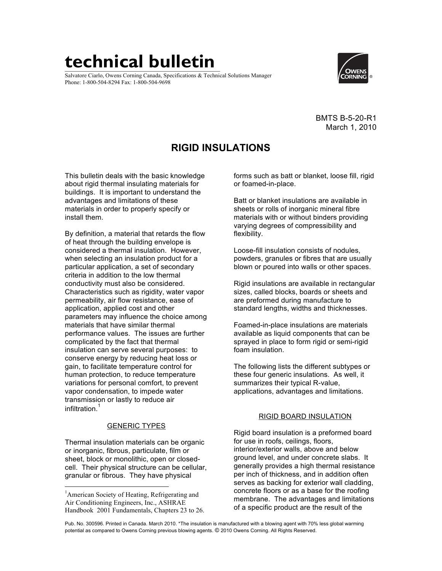# **technical bulletin**

Salvatore Ciarlo, Owens Corning Canada, Specifications & Technical Solutions Manager Phone: 1-800-504-8294 Fax: 1-800-504-9698



BMTS B-5-20-R1 March 1, 2010

# **RIGID INSULATIONS**

This bulletin deals with the basic knowledge about rigid thermal insulating materials for buildings. It is important to understand the advantages and limitations of these materials in order to properly specify or install them.

By definition, a material that retards the flow of heat through the building envelope is considered a thermal insulation. However, when selecting an insulation product for a particular application, a set of secondary criteria in addition to the low thermal conductivity must also be considered. Characteristics such as rigidity, water vapor permeability, air flow resistance, ease of application, applied cost and other parameters may influence the choice among materials that have similar thermal performance values. The issues are further complicated by the fact that thermal insulation can serve several purposes: to conserve energy by reducing heat loss or gain, to facilitate temperature control for human protection, to reduce temperature variations for personal comfort, to prevent vapor condensation, to impede water transmission or lastly to reduce air infiltration.

### GENERIC TYPES

Thermal insulation materials can be organic or inorganic, fibrous, particulate, film or sheet, block or monolithic, open or closedcell. Their physical structure can be cellular, granular or fibrous. They have physical

forms such as batt or blanket, loose fill, rigid or foamed-in-place.

Batt or blanket insulations are available in sheets or rolls of inorganic mineral fibre materials with or without binders providing varying degrees of compressibility and flexibility.

Loose-fill insulation consists of nodules, powders, granules or fibres that are usually blown or poured into walls or other spaces.

Rigid insulations are available in rectangular sizes, called blocks, boards or sheets and are preformed during manufacture to standard lengths, widths and thicknesses.

Foamed-in-place insulations are materials available as liquid components that can be sprayed in place to form rigid or semi-rigid foam insulation.

The following lists the different subtypes or these four generic insulations. As well, it summarizes their typical R-value, applications, advantages and limitations.

## RIGID BOARD INSULATION

Rigid board insulation is a preformed board for use in roofs, ceilings, floors, interior/exterior walls, above and below ground level, and under concrete slabs. It generally provides a high thermal resistance per inch of thickness, and in addition often serves as backing for exterior wall cladding, concrete floors or as a base for the roofing membrane. The advantages and limitations of a specific product are the result of the

 $\frac{1}{1}$ <sup>1</sup> American Society of Heating, Refrigerating and Air Conditioning Engineers, Inc., ASHRAE Handbook 2001 Fundamentals, Chapters 23 to 26.

Pub. No. 300596. Printed in Canada. March 2010. \*The insulation is manufactured with a blowing agent with 70% less global warming potential as compared to Owens Corning previous blowing agents. © 2010 Owens Corning. All Rights Reserved.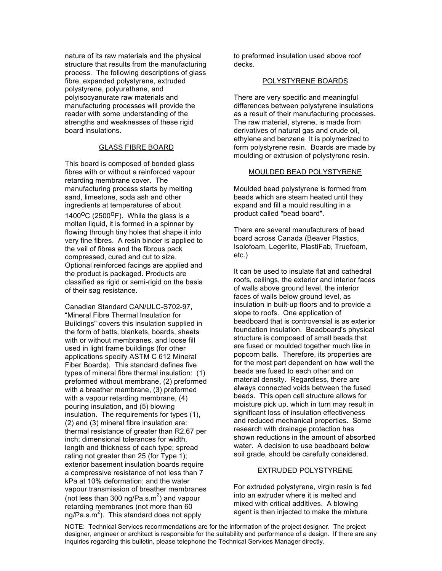nature of its raw materials and the physical structure that results from the manufacturing process. The following descriptions of glass fibre, expanded polystyrene, extruded polystyrene, polyurethane, and polyisocyanurate raw materials and manufacturing processes will provide the reader with some understanding of the strengths and weaknesses of these rigid board insulations.

#### GLASS FIBRE BOARD

This board is composed of bonded glass fibres with or without a reinforced vapour retarding membrane cover. The manufacturing process starts by melting sand, limestone, soda ash and other ingredients at temperatures of about

1400 $^{\circ}$ C (2500 $^{\circ}$ F). While the glass is a molten liquid, it is formed in a spinner by flowing through tiny holes that shape it into very fine fibres. A resin binder is applied to the veil of fibres and the fibrous pack compressed, cured and cut to size. Optional reinforced facings are applied and the product is packaged. Products are classified as rigid or semi-rigid on the basis of their sag resistance.

Canadian Standard CAN/ULC-S702-97, "Mineral Fibre Thermal Insulation for Buildings" covers this insulation supplied in the form of batts, blankets, boards, sheets with or without membranes, and loose fill used in light frame buildings (for other applications specify ASTM C 612 Mineral Fiber Boards). This standard defines five types of mineral fibre thermal insulation: (1) preformed without membrane, (2) preformed with a breather membrane, (3) preformed with a vapour retarding membrane, (4) pouring insulation, and (5) blowing insulation. The requirements for types (1), (2) and (3) mineral fibre insulation are: thermal resistance of greater than R2.67 per inch; dimensional tolerances for width, length and thickness of each type; spread rating not greater than 25 (for Type 1); exterior basement insulation boards require a compressive resistance of not less than 7 kPa at 10% deformation; and the water vapour transmission of breather membranes (not less than 300 ng/Pa.s.m<sup>2</sup>) and vapour retarding membranes (not more than 60 ng/Pa.s.m<sup>2</sup>). This standard does not apply

to preformed insulation used above roof decks.

#### POLYSTYRENE BOARDS

There are very specific and meaningful differences between polystyrene insulations as a result of their manufacturing processes. The raw material, styrene, is made from derivatives of natural gas and crude oil, ethylene and benzene It is polymerized to form polystyrene resin. Boards are made by moulding or extrusion of polystyrene resin.

#### MOULDED BEAD POLYSTYRENE

Moulded bead polystyrene is formed from beads which are steam heated until they expand and fill a mould resulting in a product called "bead board".

There are several manufacturers of bead board across Canada (Beaver Plastics, Isolofoam, Legerlite, PlastiFab, Truefoam, etc.)

It can be used to insulate flat and cathedral roofs, ceilings, the exterior and interior faces of walls above ground level, the interior faces of walls below ground level, as insulation in built-up floors and to provide a slope to roofs. One application of beadboard that is controversial is as exterior foundation insulation. Beadboard's physical structure is composed of small beads that are fused or moulded together much like in popcorn balls. Therefore, its properties are for the most part dependent on how well the beads are fused to each other and on material density. Regardless, there are always connected voids between the fused beads. This open cell structure allows for moisture pick up, which in turn may result in significant loss of insulation effectiveness and reduced mechanical properties. Some research with drainage protection has shown reductions in the amount of absorbed water. A decision to use beadboard below soil grade, should be carefully considered.

#### EXTRUDED POLYSTYRENE

For extruded polystyrene, virgin resin is fed into an extruder where it is melted and mixed with critical additives. A blowing agent is then injected to make the mixture

NOTE: Technical Services recommendations are for the information of the project designer. The project designer, engineer or architect is responsible for the suitability and performance of a design. If there are any inquiries regarding this bulletin, please telephone the Technical Services Manager directly.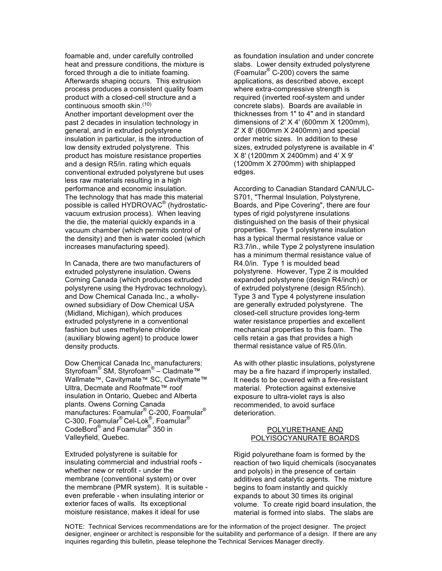foamable and, under carefully controlled heat and pressure conditions, the mixture is forced through a die to initiate foaming. Afterwards shaping occurs. This extrusion process produces a consistent quality foam product with a closed-cell structure and a continuous smooth skin.<sup>(10)</sup> Another important development over the past 2 decades in insulation technology in general, and in extruded polystyrene insulation in particular, is the introduction of low density extruded polystyrene. This product has moisture resistance properties and a design R5/in. rating which equals conventional extruded polystyrene but uses less raw materials resulting in a high performance and economic insulation. The technology that has made this material possible is called HYDROVAC® (hydrostaticvacuum extrusion process). When leaving the die, the material quickly expands in a vacuum chamber (which permits control of the density) and then is water cooled (which increases manufacturing speed).

In Canada, there are two manufacturers of extruded polystyrene insulation. Owens Corning Canada (which produces extruded polystyrene using the Hydrovac technology), and Dow Chemical Canada Inc., a whollyowned subsidiary of Dow Chemical USA (Midland, Michigan), which produces extruded polystyrene in a conventional fashion but uses methylene chloride (auxiliary blowing agent) to produce lower density products.

Dow Chemical Canada Inc. manufacturers: Styrofoam<sup>®</sup> SM, Styrofoam<sup>®</sup> – Cladmate™ Wallmate™, Cavitymate™ SC, Cavitymate™ Ultra, Decmate and Roofmate™ roof insulation in Ontario, Quebec and Alberta plants. Owens Corning Canada manufactures: Foamular® C-200, Foamular® C-300, Foamular® Cel-Lok®, Foamular<sup>®</sup> CodeBord® and Foamular® 350 in Valleyfield, Quebec.

Extruded polystyrene is suitable for insulating commercial and industrial roofs whether new or retrofit - under the membrane (conventional system) or over the membrane (PMR system). It is suitable even preferable - when insulating interior or exterior faces of walls. Its exceptional moisture resistance, makes it ideal for use

as foundation insulation and under concrete slabs. Lower density extruded polystyrene (Foamular® C-200) covers the same applications, as described above, except where extra-compressive strength is required (inverted roof-system and under concrete slabs). Boards are available in thicknesses from 1" to 4" and in standard dimensions of 2' X 4' (600mm X 1200mm), 2' X 8' (600mm X 2400mm) and special order metric sizes. In addition to these sizes, extruded polystyrene is available in 4' X 8' (1200mm X 2400mm) and 4' X 9' (1200mm X 2700mm) with shiplapped edges.

According to Canadian Standard CAN/ULC-S701, "Thermal Insulation, Polystyrene, Boards, and Pipe Covering", there are four types of rigid polystyrene insulations distinguished on the basis of their physical properties. Type 1 polystyrene insulation has a typical thermal resistance value or R3.7/in., while Type 2 polystyrene insulation has a minimum thermal resistance value of R4.0/in. Type 1 is moulded bead polystyrene. However, Type 2 is moulded expanded polystyrene (design R4/inch) or of extruded polystyrene (design R5/inch). Type 3 and Type 4 polystyrene insulation are generally extruded polystyrene. The closed-cell structure provides long-term water resistance properties and excellent mechanical properties to this foam. The cells retain a gas that provides a high thermal resistance value of R5.0/in.

As with other plastic insulations, polystyrene may be a fire hazard if improperly installed. It needs to be covered with a fire-resistant material. Protection against extensive exposure to ultra-violet rays is also recommended, to avoid surface deterioration.

#### POLYURETHANE AND POLYISOCYANURATE BOARDS

Rigid polyurethane foam is formed by the reaction of two liquid chemicals (isocyanates and polyols) in the presence of certain additives and catalytic agents. The mixture begins to foam instantly and quickly expands to about 30 times its original volume. To create rigid board insulation, the material is formed into slabs. The slabs are

NOTE: Technical Services recommendations are for the information of the project designer. The project designer, engineer or architect is responsible for the suitability and performance of a design. If there are any inquiries regarding this bulletin, please telephone the Technical Services Manager directly.